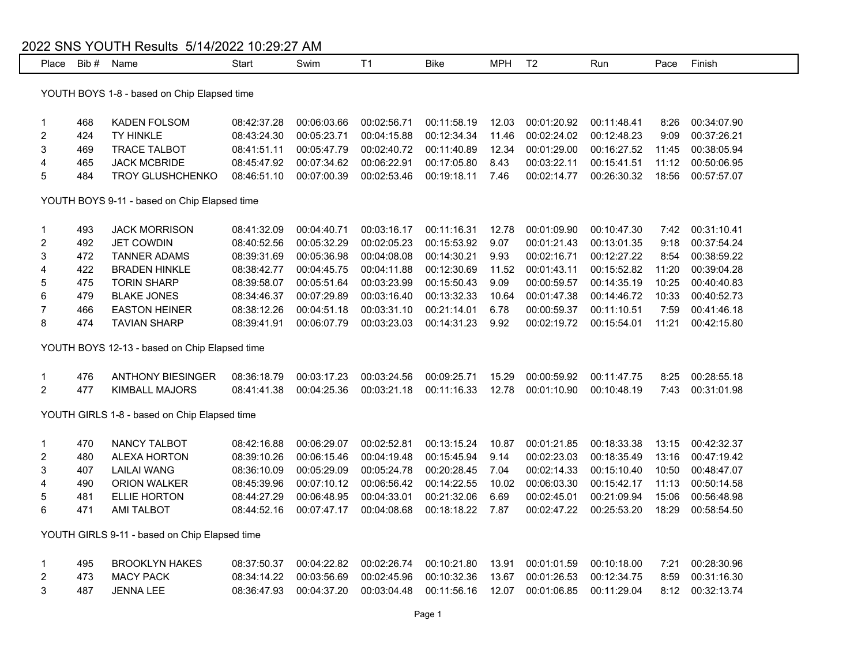## 2022 SNS YOUTH Results 5/14/2022 10:29:27 AM

| Place                                         | Bib # | Name                                          | Start       | Swim        | T <sub>1</sub> | <b>Bike</b> | <b>MPH</b> | T <sub>2</sub> | Run         | Pace  | Finish      |
|-----------------------------------------------|-------|-----------------------------------------------|-------------|-------------|----------------|-------------|------------|----------------|-------------|-------|-------------|
|                                               |       |                                               |             |             |                |             |            |                |             |       |             |
| YOUTH BOYS 1-8 - based on Chip Elapsed time   |       |                                               |             |             |                |             |            |                |             |       |             |
| 1                                             | 468   | <b>KADEN FOLSOM</b>                           | 08:42:37.28 | 00:06:03.66 | 00:02:56.71    | 00:11:58.19 | 12.03      | 00:01:20.92    | 00:11:48.41 | 8:26  | 00:34:07.90 |
| $\overline{c}$                                | 424   | TY HINKLE                                     | 08:43:24.30 | 00:05:23.71 | 00:04:15.88    | 00:12:34.34 | 11.46      | 00:02:24.02    | 00:12:48.23 | 9:09  | 00:37:26.21 |
| 3                                             | 469   | <b>TRACE TALBOT</b>                           | 08:41:51.11 | 00:05:47.79 | 00:02:40.72    | 00:11:40.89 | 12.34      | 00:01:29.00    | 00:16:27.52 | 11:45 | 00:38:05.94 |
| 4                                             | 465   | <b>JACK MCBRIDE</b>                           | 08:45:47.92 | 00:07:34.62 | 00:06:22.91    | 00:17:05.80 | 8.43       | 00:03:22.11    | 00:15:41.51 | 11:12 | 00:50:06.95 |
| 5                                             | 484   | <b>TROY GLUSHCHENKO</b>                       | 08:46:51.10 | 00:07:00.39 | 00:02:53.46    | 00:19:18.11 | 7.46       | 00:02:14.77    | 00:26:30.32 | 18:56 | 00:57:57.07 |
|                                               |       |                                               |             |             |                |             |            |                |             |       |             |
| YOUTH BOYS 9-11 - based on Chip Elapsed time  |       |                                               |             |             |                |             |            |                |             |       |             |
|                                               |       |                                               |             |             |                |             |            |                |             |       |             |
| 1                                             | 493   | <b>JACK MORRISON</b>                          | 08:41:32.09 | 00:04:40.71 | 00:03:16.17    | 00:11:16.31 | 12.78      | 00:01:09.90    | 00:10:47.30 | 7:42  | 00:31:10.41 |
| 2                                             | 492   | <b>JET COWDIN</b>                             | 08:40:52.56 | 00:05:32.29 | 00:02:05.23    | 00:15:53.92 | 9.07       | 00:01:21.43    | 00:13:01.35 | 9:18  | 00:37:54.24 |
| 3                                             | 472   | <b>TANNER ADAMS</b>                           | 08:39:31.69 | 00:05:36.98 | 00:04:08.08    | 00:14:30.21 | 9.93       | 00:02:16.71    | 00:12:27.22 | 8:54  | 00:38:59.22 |
| 4                                             | 422   | <b>BRADEN HINKLE</b>                          | 08:38:42.77 | 00:04:45.75 | 00:04:11.88    | 00:12:30.69 | 11.52      | 00:01:43.11    | 00:15:52.82 | 11:20 | 00:39:04.28 |
| 5                                             | 475   | <b>TORIN SHARP</b>                            | 08:39:58.07 | 00:05:51.64 | 00:03:23.99    | 00:15:50.43 | 9.09       | 00:00:59.57    | 00:14:35.19 | 10:25 | 00:40:40.83 |
| 6                                             | 479   | <b>BLAKE JONES</b>                            | 08:34:46.37 | 00:07:29.89 | 00:03:16.40    | 00:13:32.33 | 10.64      | 00:01:47.38    | 00:14:46.72 | 10:33 | 00:40:52.73 |
| 7                                             | 466   | <b>EASTON HEINER</b>                          | 08:38:12.26 | 00:04:51.18 | 00:03:31.10    | 00:21:14.01 | 6.78       | 00:00:59.37    | 00:11:10.51 | 7:59  | 00:41:46.18 |
| 8                                             | 474   | <b>TAVIAN SHARP</b>                           | 08:39:41.91 | 00:06:07.79 | 00:03:23.03    | 00:14:31.23 | 9.92       | 00:02:19.72    | 00:15:54.01 | 11:21 | 00:42:15.80 |
|                                               |       |                                               |             |             |                |             |            |                |             |       |             |
|                                               |       | YOUTH BOYS 12-13 - based on Chip Elapsed time |             |             |                |             |            |                |             |       |             |
| 1                                             | 476   | <b>ANTHONY BIESINGER</b>                      | 08:36:18.79 | 00:03:17.23 | 00:03:24.56    | 00:09:25.71 | 15.29      | 00:00:59.92    | 00:11:47.75 | 8:25  | 00:28:55.18 |
| $\overline{a}$                                | 477   | <b>KIMBALL MAJORS</b>                         | 08:41:41.38 | 00:04:25.36 | 00:03:21.18    | 00:11:16.33 | 12.78      | 00:01:10.90    | 00:10:48.19 | 7:43  | 00:31:01.98 |
|                                               |       |                                               |             |             |                |             |            |                |             |       |             |
|                                               |       | YOUTH GIRLS 1-8 - based on Chip Elapsed time  |             |             |                |             |            |                |             |       |             |
| 1                                             | 470   | NANCY TALBOT                                  | 08:42:16.88 | 00:06:29.07 | 00:02:52.81    | 00:13:15.24 | 10.87      | 00:01:21.85    | 00:18:33.38 | 13:15 | 00:42:32.37 |
| $\overline{\mathbf{c}}$                       | 480   | <b>ALEXA HORTON</b>                           | 08:39:10.26 | 00:06:15.46 | 00:04:19.48    | 00:15:45.94 | 9.14       | 00:02:23.03    | 00:18:35.49 | 13:16 | 00:47:19.42 |
| 3                                             | 407   | <b>LAILAI WANG</b>                            | 08:36:10.09 | 00:05:29.09 | 00:05:24.78    | 00:20:28.45 | 7.04       | 00:02:14.33    | 00:15:10.40 | 10:50 | 00:48:47.07 |
| 4                                             | 490   | <b>ORION WALKER</b>                           | 08:45:39.96 | 00:07:10.12 | 00:06:56.42    | 00:14:22.55 | 10.02      | 00:06:03.30    | 00:15:42.17 | 11:13 | 00:50:14.58 |
| 5                                             | 481   | <b>ELLIE HORTON</b>                           | 08:44:27.29 | 00:06:48.95 | 00:04:33.01    | 00:21:32.06 | 6.69       | 00:02:45.01    | 00:21:09.94 | 15:06 | 00:56:48.98 |
| 6                                             | 471   | <b>AMI TALBOT</b>                             | 08:44:52.16 | 00:07:47.17 | 00:04:08.68    | 00:18:18.22 | 7.87       | 00:02:47.22    | 00:25:53.20 | 18:29 | 00:58:54.50 |
|                                               |       |                                               |             |             |                |             |            |                |             |       |             |
| YOUTH GIRLS 9-11 - based on Chip Elapsed time |       |                                               |             |             |                |             |            |                |             |       |             |

| 495 | BROOKI YN HAKES |                         |  |  | 08:37:50.37 00:04:22.82 00:02:26.74 00:10:21.80 13.91 00:01:01.59 00:10:18.00 7:21 00:28:30.96         |  |
|-----|-----------------|-------------------------|--|--|--------------------------------------------------------------------------------------------------------|--|
| 473 | MACY PACK       | 08:34:14.22 00:03:56.69 |  |  | 00:02:45.96 00:10:32.36 13.67 00:01:26.53 00:12:34.75 8:59 00:31:16.30                                 |  |
| 487 | JENNA LEE       |                         |  |  | 08:36:47.93  00:04:37.20  00:03:04.48  00:11:56.16  12.07  00:01:06.85  00:11:29.04  8:12  00:32:13.74 |  |